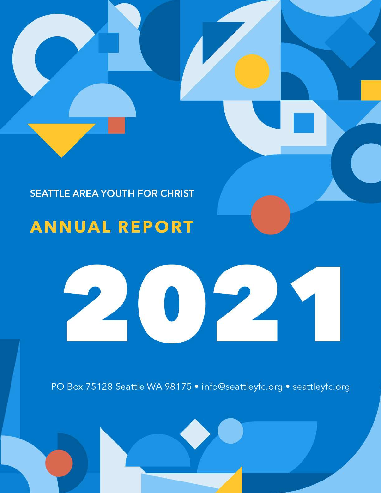

## **SEATTLE AREA YOUTH FOR CHRIST**

## **ANNUAL REPORT**

# $P_{\mathcal{A}}$

PO Box 75128 Seattle WA 98175 . info@seattleyfc.org . seattleyfc.org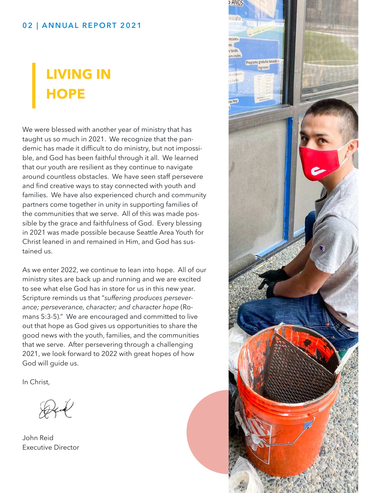#### 02 | ANNUAL REPORT 2021

# **LIVING IN HOPE**

We were blessed with another year of ministry that has taught us so much in 2021. We recognize that the pandemic has made it difficult to do ministry, but not impossible, and God has been faithful through it all. We learned that our youth are resilient as they continue to navigate around countless obstacles. We have seen staff persevere and find creative ways to stay connected with youth and families. We have also experienced church and community partners come together in unity in supporting families of the communities that we serve. All of this was made possible by the grace and faithfulness of God. Every blessing in 2021 was made possible because Seattle Area Youth for Christ leaned in and remained in Him, and God has sustained us.

As we enter 2022, we continue to lean into hope. All of our ministry sites are back up and running and we are excited to see what else God has in store for us in this new year. Scripture reminds us that "*suffering produces perseverance; perseverance, character; and character hope* (Romans 5:3-5)." We are encouraged and committed to live out that hope as God gives us opportunities to share the good news with the youth, families, and the communities that we serve. After persevering through a challenging 2021, we look forward to 2022 with great hopes of how God will guide us.

In Christ,

John Reid Executive Director

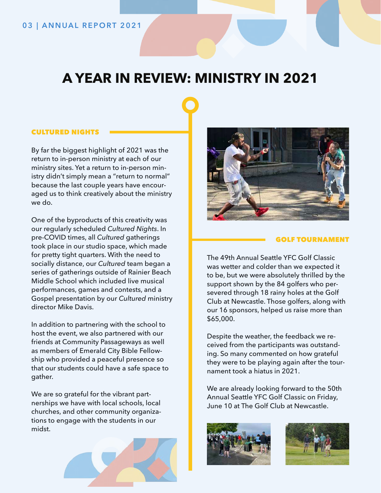## **A YEAR IN REVIEW: MINISTRY IN 2021**

#### CULTURED NIGHTS

By far the biggest highlight of 2021 was the return to in-person ministry at each of our ministry sites. Yet a return to in-person ministry didn't simply mean a "return to normal" because the last couple years have encouraged us to think creatively about the ministry we do.

One of the byproducts of this creativity was our regularly scheduled *Cultured Nights*. In pre-COVID times, all *Cultured* gatherings took place in our studio space, which made for pretty tight quarters. With the need to socially distance, our *Cultured* team began a series of gatherings outside of Rainier Beach Middle School which included live musical performances, games and contests, and a Gospel presentation by our *Cultured* ministry director Mike Davis.

In addition to partnering with the school to host the event, we also partnered with our friends at Community Passageways as well as members of Emerald City Bible Fellowship who provided a peaceful presence so that our students could have a safe space to gather.

We are so grateful for the vibrant partnerships we have with local schools, local churches, and other community organizations to engage with the students in our midst.





#### GOLF TOURNAMENT

The 49th Annual Seattle YFC Golf Classic was wetter and colder than we expected it to be, but we were absolutely thrilled by the support shown by the 84 golfers who persevered through 18 rainy holes at the Golf Club at Newcastle. Those golfers, along with our 16 sponsors, helped us raise more than \$65,000.

Despite the weather, the feedback we received from the participants was outstanding. So many commented on how grateful they were to be playing again after the tournament took a hiatus in 2021.

We are already looking forward to the 50th Annual Seattle YFC Golf Classic on Friday, June 10 at The Golf Club at Newcastle.



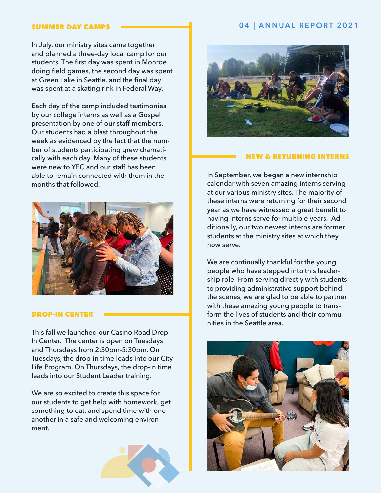In July, our ministry sites came together and planned a three-day local camp for our students. The first day was spent in Monroe doing field games, the second day was spent at Green Lake in Seattle, and the final day was spent at a skating rink in Federal Way.

Each day of the camp included testimonies by our college interns as well as a Gospel presentation by one of our staff members. Our students had a blast throughout the week as evidenced by the fact that the number of students participating grew dramatically with each day. Many of these students were new to YFC and our staff has been able to remain connected with them in the months that followed.



#### DROP-IN CENTER

This fall we launched our Casino Road Drop-In Center. The center is open on Tuesdays and Thursdays from 2:30pm-5:30pm. On Tuesdays, the drop-in time leads into our City Life Program. On Thursdays, the drop-in time leads into our Student Leader training.

We are so excited to create this space for our students to get help with homework, get something to eat, and spend time with one another in a safe and welcoming environment.



#### SUMMER DAY CAMPS **CONSUMING A REPORT 2021**



#### NEW & RETURNING INTERNS

In September, we began a new internship calendar with seven amazing interns serving at our various ministry sites. The majority of these interns were returning for their second year as we have witnessed a great benefit to having interns serve for multiple years. Additionally, our two newest interns are former students at the ministry sites at which they now serve.

We are continually thankful for the young people who have stepped into this leadership role. From serving directly with students to providing administrative support behind the scenes, we are glad to be able to partner with these amazing young people to transform the lives of students and their communities in the Seattle area.

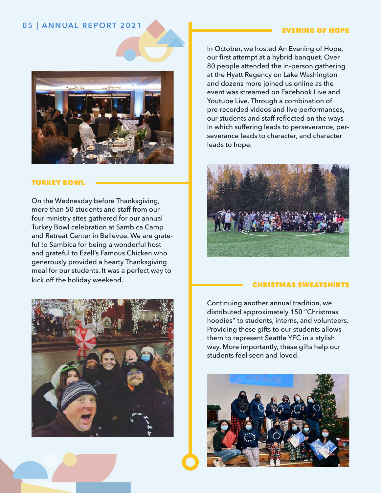### 05 | ANNUAL REPORT 2021 **EVENING OF HOPE**



#### TURKEY BOWL

On the Wednesday before Thanksgiving, more than 50 students and staff from our four ministry sites gathered for our annual Turkey Bowl celebration at Sambica Camp and Retreat Center in Bellevue. We are grateful to Sambica for being a wonderful host and grateful to Ezell's Famous Chicken who generously provided a hearty Thanksgiving meal for our students. It was a perfect way to kick off the holiday weekend.



In October, we hosted An Evening of Hope, our first attempt at a hybrid banquet. Over 80 people attended the in-person gathering at the Hyatt Regency on Lake Washington and dozens more joined us online as the event was streamed on Facebook Live and Youtube Live. Through a combination of pre-recorded videos and live performances, our students and staff reflected on the ways in which suffering leads to perseverance, perseverance leads to character, and character leads to hope.



#### CHRISTMAS SWEATSHIRTS

Continuing another annual tradition, we distributed approximately 150 "Christmas hoodies" to students, interns, and volunteers. Providing these gifts to our students allows them to represent Seattle YFC in a stylish way. More importantly, these gifts help our students feel seen and loved.

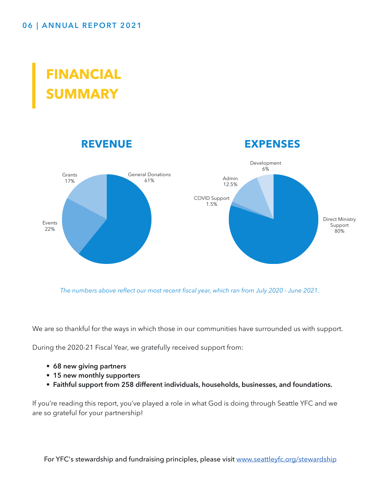## **FINANCIAL SUMMARY**



*The numbers above reflect our most recent fiscal year, which ran from July 2020 - June 2021.*

We are so thankful for the ways in which those in our communities have surrounded us with support.

During the 2020-21 Fiscal Year, we gratefully received support from:

- **68 new giving partners**
- **15 new monthly supporters**
- **Faithful support from 258 different individuals, households, businesses, and foundations.**

If you're reading this report, you've played a role in what God is doing through Seattle YFC and we are so grateful for your partnership!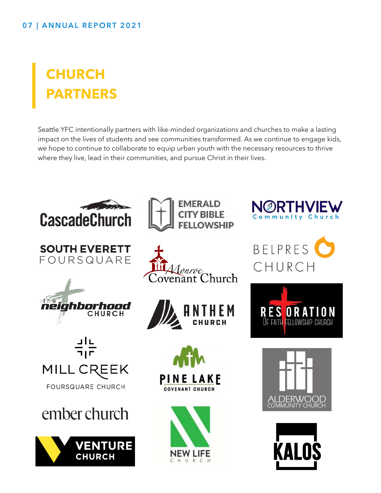# **CHURCH PARTNERS**

Seattle YFC intentionally partners with like-minded organizations and churches to make a lasting impact on the lives of students and see communities transformed. As we continue to engage kids, we hope to continue to collaborate to equip urban youth with the necessary resources to thrive where they live, lead in their communities, and pursue Christ in their lives.